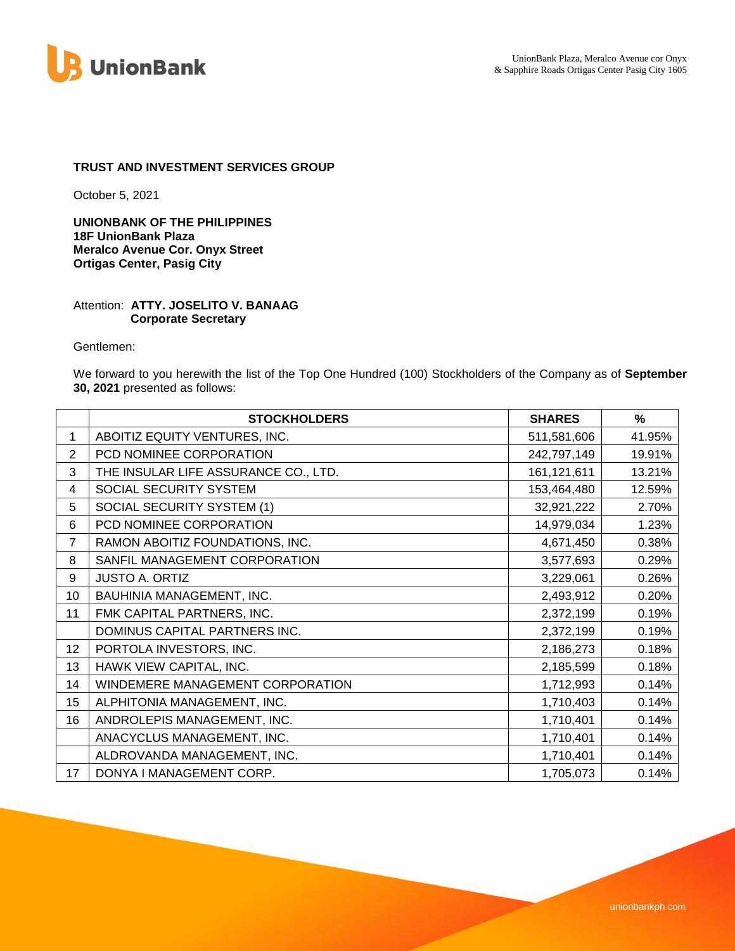

## **TRUST AND INVESTMENT SERVICES GROUP**

October 5, 2021

**UNIONBANK OF THE PHILIPPINES 18F UnionBank Plaza Meralco Avenue Cor. Onyx Street Ortigas Center, Pasig City**

## Attention: **ATTY. JOSELITO V. BANAAG Corporate Secretary**

Gentlemen:

We forward to you herewith the list of the Top One Hundred (100) Stockholders of the Company as of **September 30, 2021** presented as follows:

|                | <b>STOCKHOLDERS</b>                  | <b>SHARES</b> | $\frac{0}{0}$ |
|----------------|--------------------------------------|---------------|---------------|
| 1              | ABOITIZ EQUITY VENTURES, INC.        | 511,581,606   | 41.95%        |
| $\overline{2}$ | PCD NOMINEE CORPORATION              | 242,797,149   | 19.91%        |
| 3              | THE INSULAR LIFE ASSURANCE CO., LTD. | 161,121,611   | 13.21%        |
| 4              | SOCIAL SECURITY SYSTEM               | 153,464,480   | 12.59%        |
| 5              | SOCIAL SECURITY SYSTEM (1)           | 32,921,222    | 2.70%         |
| 6              | PCD NOMINEE CORPORATION              | 14,979,034    | 1.23%         |
| $\overline{7}$ | RAMON ABOITIZ FOUNDATIONS, INC.      | 4,671,450     | 0.38%         |
| 8              | SANFIL MANAGEMENT CORPORATION        | 3,577,693     | 0.29%         |
| 9              | <b>JUSTO A. ORTIZ</b>                | 3,229,061     | 0.26%         |
| 10             | BAUHINIA MANAGEMENT, INC.            | 2,493,912     | 0.20%         |
| 11             | FMK CAPITAL PARTNERS, INC.           | 2,372,199     | 0.19%         |
|                | DOMINUS CAPITAL PARTNERS INC.        | 2,372,199     | 0.19%         |
| 12             | PORTOLA INVESTORS, INC.              | 2,186,273     | 0.18%         |
| 13             | HAWK VIEW CAPITAL, INC.              | 2,185,599     | 0.18%         |
| 14             | WINDEMERE MANAGEMENT CORPORATION     | 1,712,993     | 0.14%         |
| 15             | ALPHITONIA MANAGEMENT, INC.          | 1,710,403     | 0.14%         |
| 16             | ANDROLEPIS MANAGEMENT, INC.          | 1,710,401     | 0.14%         |
|                | ANACYCLUS MANAGEMENT, INC.           | 1,710,401     | 0.14%         |
|                | ALDROVANDA MANAGEMENT, INC.          | 1,710,401     | 0.14%         |
| 17             | DONYA I MANAGEMENT CORP.             | 1,705,073     | 0.14%         |

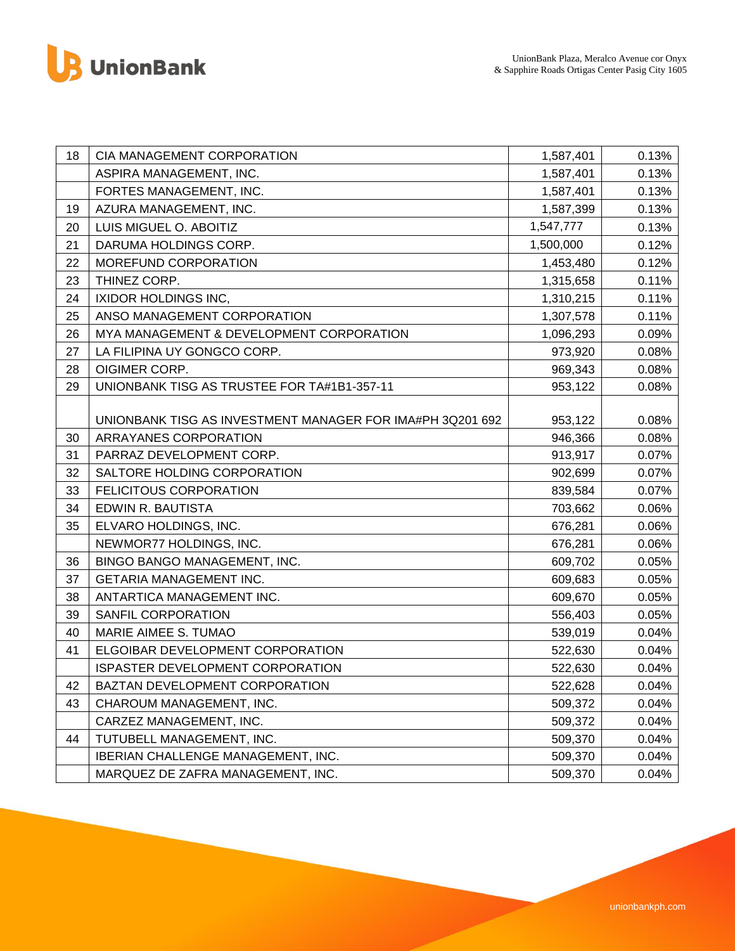

| 18 | CIA MANAGEMENT CORPORATION                                | 1,587,401 | 0.13% |
|----|-----------------------------------------------------------|-----------|-------|
|    | ASPIRA MANAGEMENT, INC.                                   | 1,587,401 | 0.13% |
|    | FORTES MANAGEMENT, INC.                                   | 1,587,401 | 0.13% |
| 19 | AZURA MANAGEMENT, INC.                                    | 1,587,399 | 0.13% |
| 20 | LUIS MIGUEL O. ABOITIZ                                    | 1,547,777 | 0.13% |
| 21 | DARUMA HOLDINGS CORP.                                     | 1,500,000 | 0.12% |
| 22 | MOREFUND CORPORATION                                      | 1,453,480 | 0.12% |
| 23 | THINEZ CORP.                                              | 1,315,658 | 0.11% |
| 24 | <b>IXIDOR HOLDINGS INC,</b>                               | 1,310,215 | 0.11% |
| 25 | ANSO MANAGEMENT CORPORATION                               | 1,307,578 | 0.11% |
| 26 | MYA MANAGEMENT & DEVELOPMENT CORPORATION                  | 1,096,293 | 0.09% |
| 27 | LA FILIPINA UY GONGCO CORP.                               | 973,920   | 0.08% |
| 28 | OIGIMER CORP.                                             | 969,343   | 0.08% |
| 29 | UNIONBANK TISG AS TRUSTEE FOR TA#1B1-357-11               | 953,122   | 0.08% |
|    |                                                           |           |       |
|    | UNIONBANK TISG AS INVESTMENT MANAGER FOR IMA#PH 3Q201 692 | 953,122   | 0.08% |
| 30 | ARRAYANES CORPORATION                                     | 946,366   | 0.08% |
| 31 | PARRAZ DEVELOPMENT CORP.                                  | 913,917   | 0.07% |
| 32 | SALTORE HOLDING CORPORATION                               | 902,699   | 0.07% |
| 33 | FELICITOUS CORPORATION                                    | 839,584   | 0.07% |
| 34 | EDWIN R. BAUTISTA                                         | 703,662   | 0.06% |
| 35 | ELVARO HOLDINGS, INC.                                     | 676,281   | 0.06% |
|    | NEWMOR77 HOLDINGS, INC.                                   | 676,281   | 0.06% |
| 36 | BINGO BANGO MANAGEMENT, INC.                              | 609,702   | 0.05% |
| 37 | <b>GETARIA MANAGEMENT INC.</b>                            | 609,683   | 0.05% |
| 38 | ANTARTICA MANAGEMENT INC.                                 | 609,670   | 0.05% |
| 39 | SANFIL CORPORATION                                        | 556,403   | 0.05% |
| 40 | MARIE AIMEE S. TUMAO                                      | 539,019   | 0.04% |
| 41 | ELGOIBAR DEVELOPMENT CORPORATION                          | 522,630   | 0.04% |
|    | ISPASTER DEVELOPMENT CORPORATION                          | 522,630   | 0.04% |
| 42 | BAZTAN DEVELOPMENT CORPORATION                            | 522,628   | 0.04% |
| 43 | CHAROUM MANAGEMENT, INC.                                  | 509,372   | 0.04% |
|    | CARZEZ MANAGEMENT, INC.                                   | 509,372   | 0.04% |
| 44 | TUTUBELL MANAGEMENT, INC.                                 | 509,370   | 0.04% |
|    | IBERIAN CHALLENGE MANAGEMENT, INC.                        | 509,370   | 0.04% |
|    | MARQUEZ DE ZAFRA MANAGEMENT, INC.                         | 509,370   | 0.04% |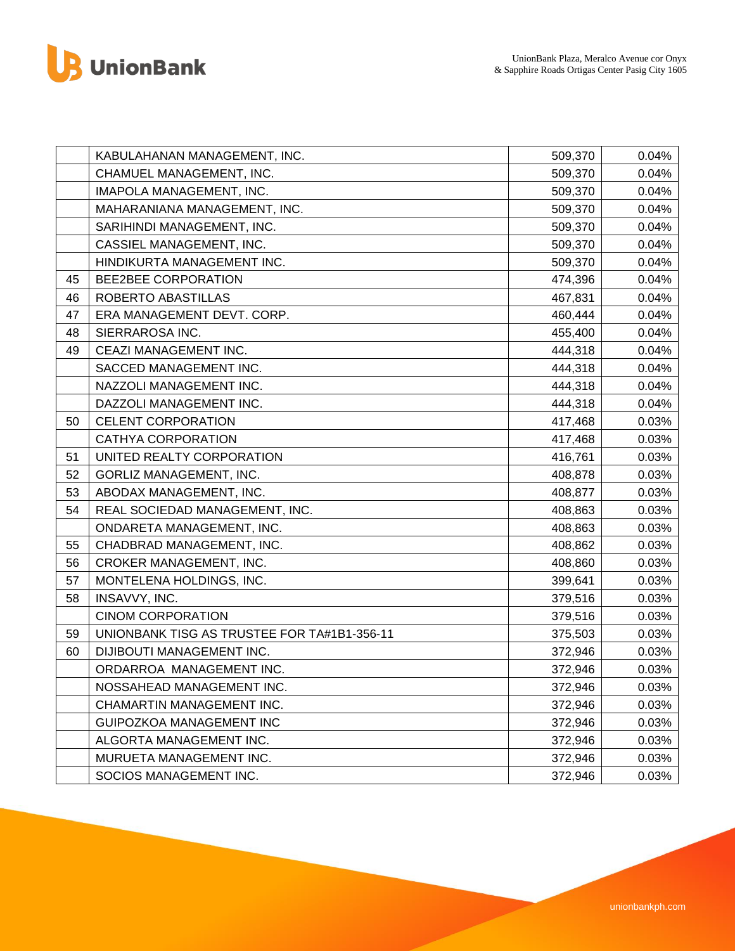



|    | KABULAHANAN MANAGEMENT, INC.                | 509,370 | 0.04% |
|----|---------------------------------------------|---------|-------|
|    | CHAMUEL MANAGEMENT, INC.                    | 509,370 | 0.04% |
|    | IMAPOLA MANAGEMENT, INC.                    | 509,370 | 0.04% |
|    | MAHARANIANA MANAGEMENT, INC.                | 509,370 | 0.04% |
|    | SARIHINDI MANAGEMENT, INC.                  | 509,370 | 0.04% |
|    | CASSIEL MANAGEMENT, INC.                    | 509,370 | 0.04% |
|    | HINDIKURTA MANAGEMENT INC.                  | 509,370 | 0.04% |
| 45 | BEE2BEE CORPORATION                         | 474,396 | 0.04% |
| 46 | ROBERTO ABASTILLAS                          | 467,831 | 0.04% |
| 47 | ERA MANAGEMENT DEVT. CORP.                  | 460,444 | 0.04% |
| 48 | SIERRAROSA INC.                             | 455,400 | 0.04% |
| 49 | CEAZI MANAGEMENT INC.                       | 444,318 | 0.04% |
|    | SACCED MANAGEMENT INC.                      | 444,318 | 0.04% |
|    | NAZZOLI MANAGEMENT INC.                     | 444,318 | 0.04% |
|    | DAZZOLI MANAGEMENT INC.                     | 444,318 | 0.04% |
| 50 | <b>CELENT CORPORATION</b>                   | 417,468 | 0.03% |
|    | CATHYA CORPORATION                          | 417,468 | 0.03% |
| 51 | UNITED REALTY CORPORATION                   | 416,761 | 0.03% |
| 52 | <b>GORLIZ MANAGEMENT, INC.</b>              | 408,878 | 0.03% |
| 53 | ABODAX MANAGEMENT, INC.                     | 408,877 | 0.03% |
| 54 | REAL SOCIEDAD MANAGEMENT, INC.              | 408,863 | 0.03% |
|    | ONDARETA MANAGEMENT, INC.                   | 408,863 | 0.03% |
| 55 | CHADBRAD MANAGEMENT, INC.                   | 408,862 | 0.03% |
| 56 | CROKER MANAGEMENT, INC.                     | 408,860 | 0.03% |
| 57 | MONTELENA HOLDINGS, INC.                    | 399,641 | 0.03% |
| 58 | INSAVVY, INC.                               | 379,516 | 0.03% |
|    | <b>CINOM CORPORATION</b>                    | 379,516 | 0.03% |
| 59 | UNIONBANK TISG AS TRUSTEE FOR TA#1B1-356-11 | 375,503 | 0.03% |
| 60 | DIJIBOUTI MANAGEMENT INC.                   | 372,946 | 0.03% |
|    | ORDARROA MANAGEMENT INC.                    | 372,946 | 0.03% |
|    | NOSSAHEAD MANAGEMENT INC.                   | 372,946 | 0.03% |
|    | CHAMARTIN MANAGEMENT INC.                   | 372,946 | 0.03% |
|    | <b>GUIPOZKOA MANAGEMENT INC</b>             | 372,946 | 0.03% |
|    | ALGORTA MANAGEMENT INC.                     | 372,946 | 0.03% |
|    | MURUETA MANAGEMENT INC.                     | 372,946 | 0.03% |
|    | SOCIOS MANAGEMENT INC.                      | 372,946 | 0.03% |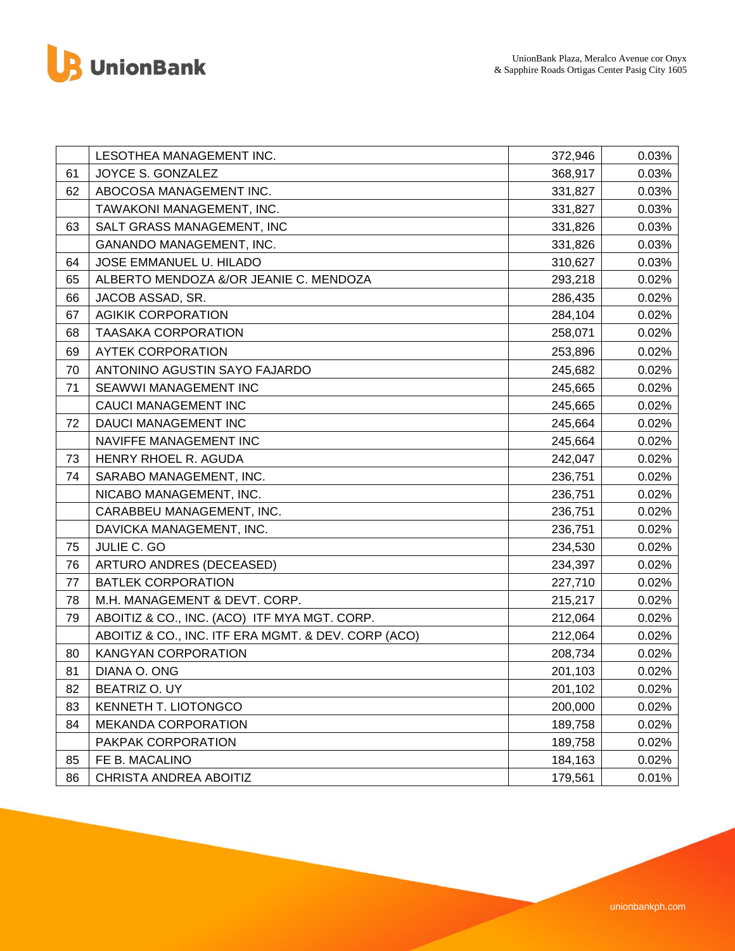



|    | LESOTHEA MANAGEMENT INC.                            | 372,946 | 0.03% |
|----|-----------------------------------------------------|---------|-------|
| 61 | JOYCE S. GONZALEZ                                   | 368,917 | 0.03% |
| 62 | ABOCOSA MANAGEMENT INC.                             | 331,827 | 0.03% |
|    | TAWAKONI MANAGEMENT, INC.                           | 331,827 | 0.03% |
| 63 | SALT GRASS MANAGEMENT, INC                          | 331,826 | 0.03% |
|    | GANANDO MANAGEMENT, INC.                            | 331,826 | 0.03% |
| 64 | JOSE EMMANUEL U. HILADO                             | 310,627 | 0.03% |
| 65 | ALBERTO MENDOZA &/OR JEANIE C. MENDOZA              | 293,218 | 0.02% |
| 66 | JACOB ASSAD, SR.                                    | 286,435 | 0.02% |
| 67 | <b>AGIKIK CORPORATION</b>                           | 284,104 | 0.02% |
| 68 | <b>TAASAKA CORPORATION</b>                          | 258,071 | 0.02% |
| 69 | <b>AYTEK CORPORATION</b>                            | 253,896 | 0.02% |
| 70 | ANTONINO AGUSTIN SAYO FAJARDO                       | 245,682 | 0.02% |
| 71 | SEAWWI MANAGEMENT INC                               | 245,665 | 0.02% |
|    | CAUCI MANAGEMENT INC                                | 245,665 | 0.02% |
| 72 | <b>DAUCI MANAGEMENT INC</b>                         | 245,664 | 0.02% |
|    | NAVIFFE MANAGEMENT INC                              | 245,664 | 0.02% |
| 73 | HENRY RHOEL R. AGUDA                                | 242,047 | 0.02% |
| 74 | SARABO MANAGEMENT, INC.                             | 236,751 | 0.02% |
|    | NICABO MANAGEMENT, INC.                             | 236,751 | 0.02% |
|    | CARABBEU MANAGEMENT, INC.                           | 236,751 | 0.02% |
|    | DAVICKA MANAGEMENT, INC.                            | 236,751 | 0.02% |
| 75 | JULIE C. GO                                         | 234,530 | 0.02% |
| 76 | ARTURO ANDRES (DECEASED)                            | 234,397 | 0.02% |
| 77 | <b>BATLEK CORPORATION</b>                           | 227,710 | 0.02% |
| 78 | M.H. MANAGEMENT & DEVT. CORP.                       | 215,217 | 0.02% |
| 79 | ABOITIZ & CO., INC. (ACO) ITF MYA MGT. CORP.        | 212,064 | 0.02% |
|    | ABOITIZ & CO., INC. ITF ERA MGMT. & DEV. CORP (ACO) | 212,064 | 0.02% |
| 80 | KANGYAN CORPORATION                                 | 208,734 | 0.02% |
| 81 | DIANA O. ONG                                        | 201,103 | 0.02% |
| 82 | BEATRIZ O. UY                                       | 201,102 | 0.02% |
| 83 | KENNETH T. LIOTONGCO                                | 200,000 | 0.02% |
| 84 | <b>MEKANDA CORPORATION</b>                          | 189,758 | 0.02% |
|    | PAKPAK CORPORATION                                  | 189,758 | 0.02% |
| 85 | FE B. MACALINO                                      | 184,163 | 0.02% |
| 86 | CHRISTA ANDREA ABOITIZ                              | 179,561 | 0.01% |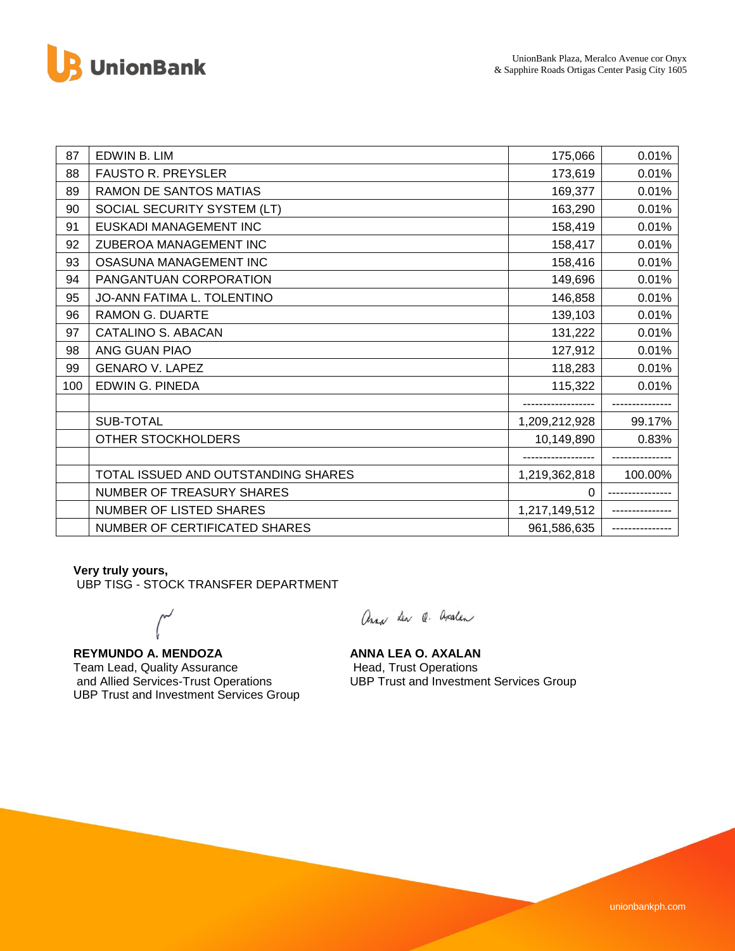



| 87  | EDWIN B. LIM                        | 175,066       | 0.01%   |
|-----|-------------------------------------|---------------|---------|
| 88  | <b>FAUSTO R. PREYSLER</b>           | 173,619       | 0.01%   |
| 89  | RAMON DE SANTOS MATIAS              | 169,377       | 0.01%   |
| 90  | SOCIAL SECURITY SYSTEM (LT)         | 163,290       | 0.01%   |
| 91  | EUSKADI MANAGEMENT INC              | 158,419       | 0.01%   |
| 92  | ZUBEROA MANAGEMENT INC              | 158,417       | 0.01%   |
| 93  | OSASUNA MANAGEMENT INC              | 158,416       | 0.01%   |
| 94  | PANGANTUAN CORPORATION              | 149,696       | 0.01%   |
| 95  | JO-ANN FATIMA L. TOLENTINO          | 146,858       | 0.01%   |
| 96  | <b>RAMON G. DUARTE</b>              | 139,103       | 0.01%   |
| 97  | CATALINO S. ABACAN                  | 131,222       | 0.01%   |
| 98  | ANG GUAN PIAO                       | 127,912       | 0.01%   |
| 99  | <b>GENARO V. LAPEZ</b>              | 118,283       | 0.01%   |
| 100 | EDWIN G. PINEDA                     | 115,322       | 0.01%   |
|     |                                     |               |         |
|     | <b>SUB-TOTAL</b>                    | 1,209,212,928 | 99.17%  |
|     | <b>OTHER STOCKHOLDERS</b>           | 10,149,890    | 0.83%   |
|     |                                     |               |         |
|     | TOTAL ISSUED AND OUTSTANDING SHARES | 1,219,362,818 | 100.00% |
|     | NUMBER OF TREASURY SHARES           | 0             |         |
|     | <b>NUMBER OF LISTED SHARES</b>      | 1,217,149,512 |         |
|     | NUMBER OF CERTIFICATED SHARES       | 961,586,635   |         |

**Very truly yours,**

UBP TISG - STOCK TRANSFER DEPARTMENT

**REYMUNDO A. MENDOZA ANNA LEA O. AXALAN**<br>
Team Lead, Quality Assurance **Annual Head, Trust Operations** Team Lead, Quality Assurance<br>and Allied Services-Trust Operations UBP Trust and Investment Services Group

Angel Len Q. avalen

UBP Trust and Investment Services Group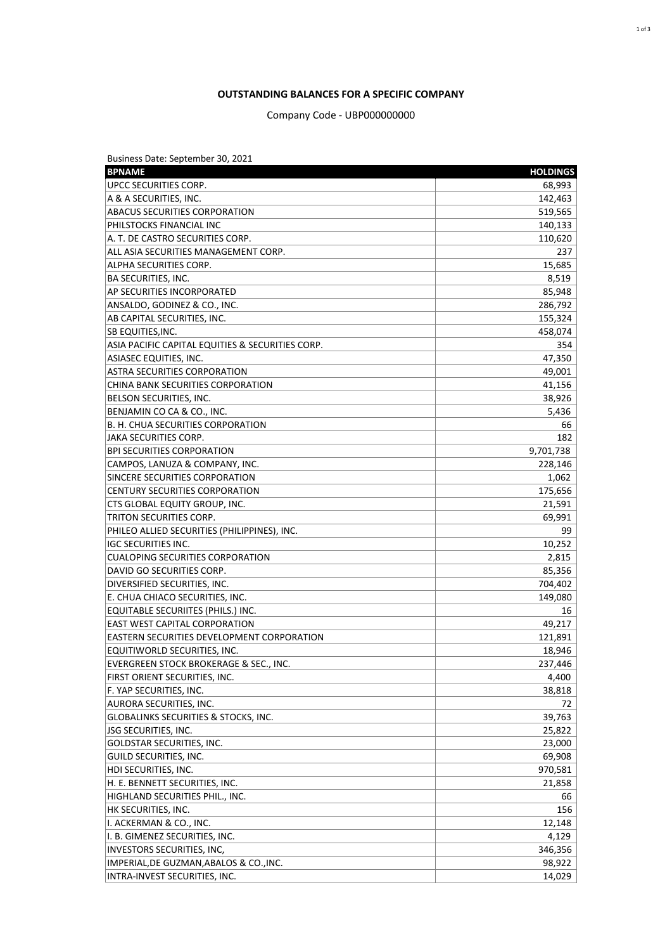## **OUTSTANDING BALANCES FOR A SPECIFIC COMPANY**

## Company Code - UBP000000000

| Business Date: September 30, 2021                 |                 |
|---------------------------------------------------|-----------------|
| <b>BPNAME</b>                                     | <b>HOLDINGS</b> |
| UPCC SECURITIES CORP.                             | 68,993          |
| A & A SECURITIES, INC.                            | 142,463         |
| <b>ABACUS SECURITIES CORPORATION</b>              | 519,565         |
| PHILSTOCKS FINANCIAL INC                          | 140,133         |
| A. T. DE CASTRO SECURITIES CORP.                  | 110,620         |
| ALL ASIA SECURITIES MANAGEMENT CORP.              | 237             |
| ALPHA SECURITIES CORP.                            | 15,685          |
| BA SECURITIES, INC.                               | 8,519           |
| AP SECURITIES INCORPORATED                        | 85,948          |
| ANSALDO, GODINEZ & CO., INC.                      | 286,792         |
| AB CAPITAL SECURITIES, INC.                       | 155,324         |
| <b>SB EQUITIES, INC.</b>                          | 458,074         |
| ASIA PACIFIC CAPITAL EQUITIES & SECURITIES CORP.  | 354             |
| ASIASEC EQUITIES, INC.                            | 47,350          |
| <b>ASTRA SECURITIES CORPORATION</b>               | 49,001          |
| CHINA BANK SECURITIES CORPORATION                 | 41,156          |
| BELSON SECURITIES, INC.                           | 38,926          |
| BENJAMIN CO CA & CO., INC.                        | 5,436           |
| B. H. CHUA SECURITIES CORPORATION                 | 66              |
| JAKA SECURITIES CORP.                             | 182             |
| <b>BPI SECURITIES CORPORATION</b>                 | 9,701,738       |
| CAMPOS, LANUZA & COMPANY, INC.                    | 228,146         |
| SINCERE SECURITIES CORPORATION                    | 1,062           |
| CENTURY SECURITIES CORPORATION                    | 175,656         |
| CTS GLOBAL EQUITY GROUP, INC.                     | 21,591          |
| TRITON SECURITIES CORP.                           | 69,991          |
| PHILEO ALLIED SECURITIES (PHILIPPINES), INC.      | 99              |
| <b>IGC SECURITIES INC.</b>                        | 10,252          |
| CUALOPING SECURITIES CORPORATION                  | 2,815           |
| DAVID GO SECURITIES CORP.                         | 85,356          |
| DIVERSIFIED SECURITIES, INC.                      | 704,402         |
| E. CHUA CHIACO SECURITIES, INC.                   | 149,080         |
| EQUITABLE SECURIITES (PHILS.) INC.                | 16              |
| <b>EAST WEST CAPITAL CORPORATION</b>              | 49,217          |
| EASTERN SECURITIES DEVELOPMENT CORPORATION        | 121,891         |
| EQUITIWORLD SECURITIES, INC.                      | 18,946          |
| <b>EVERGREEN STOCK BROKERAGE &amp; SEC., INC.</b> | 237,446         |
| FIRST ORIENT SECURITIES, INC.                     | 4,400           |
| F. YAP SECURITIES, INC.                           | 38,818          |
| AURORA SECURITIES, INC.                           | 72              |
| <b>GLOBALINKS SECURITIES &amp; STOCKS, INC.</b>   | 39,763          |
| <b>JSG SECURITIES, INC.</b>                       | 25,822          |
| GOLDSTAR SECURITIES, INC.                         | 23,000          |
| <b>GUILD SECURITIES, INC.</b>                     | 69,908          |
| HDI SECURITIES, INC.                              | 970,581         |
| H. E. BENNETT SECURITIES, INC.                    | 21,858          |
|                                                   |                 |
| HIGHLAND SECURITIES PHIL., INC.                   | 66              |
| HK SECURITIES, INC.                               | 156             |
| II. ACKERMAN & CO., INC.                          | 12,148          |
| I. B. GIMENEZ SECURITIES, INC.                    | 4,129           |
| <b>INVESTORS SECURITIES, INC,</b>                 | 346,356         |
| IMPERIAL, DE GUZMAN, ABALOS & CO., INC.           | 98,922          |
| INTRA-INVEST SECURITIES, INC.                     | 14,029          |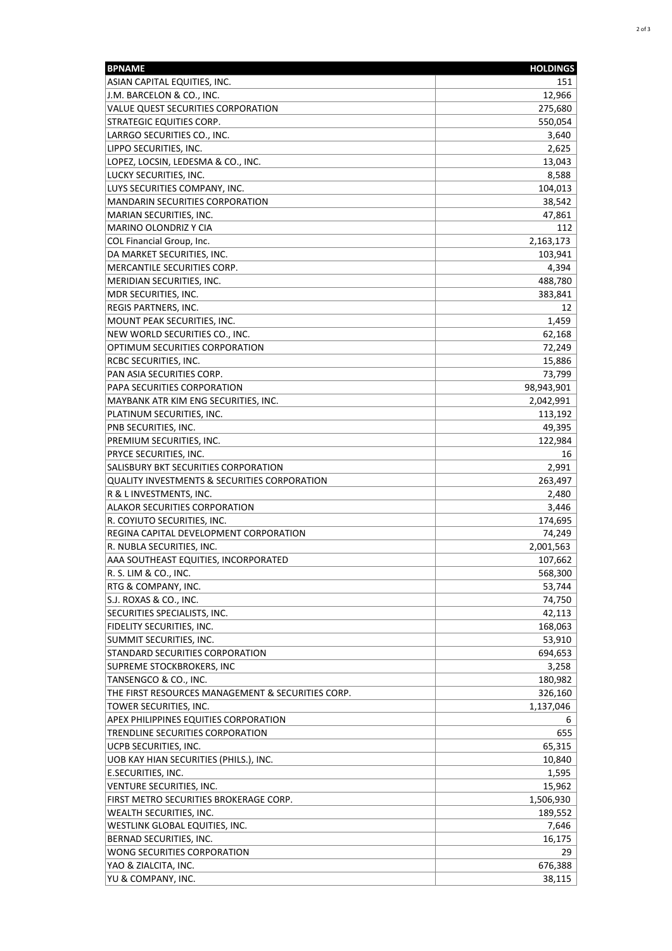| ASIAN CAPITAL EQUITIES, INC.<br>151<br>J.M. BARCELON & CO., INC.<br>12,966<br>VALUE QUEST SECURITIES CORPORATION<br>275,680<br><b>STRATEGIC EQUITIES CORP.</b><br>550,054<br>LARRGO SECURITIES CO., INC.<br>3,640<br>LIPPO SECURITIES, INC.<br>2,625<br>LOPEZ, LOCSIN, LEDESMA & CO., INC.<br>13,043<br>LUCKY SECURITIES, INC.<br>8,588<br>LUYS SECURITIES COMPANY, INC.<br>104,013<br>MANDARIN SECURITIES CORPORATION<br>38,542<br>MARIAN SECURITIES, INC.<br>47,861<br><b>MARINO OLONDRIZ Y CIA</b><br>112<br>COL Financial Group, Inc.<br>2,163,173<br>DA MARKET SECURITIES, INC.<br>103,941<br>MERCANTILE SECURITIES CORP.<br>4,394<br>MERIDIAN SECURITIES, INC.<br>488,780<br>MDR SECURITIES, INC.<br>383,841<br><b>REGIS PARTNERS, INC.</b><br>12<br>MOUNT PEAK SECURITIES, INC.<br>1,459<br>NEW WORLD SECURITIES CO., INC.<br>62,168<br>OPTIMUM SECURITIES CORPORATION<br>72,249<br>15,886<br>RCBC SECURITIES, INC.<br>PAN ASIA SECURITIES CORP.<br>73,799<br>PAPA SECURITIES CORPORATION<br>98,943,901<br>MAYBANK ATR KIM ENG SECURITIES, INC.<br>2,042,991<br>PLATINUM SECURITIES, INC.<br>113,192<br>49,395<br>PNB SECURITIES, INC.<br>122,984<br>PREMIUM SECURITIES, INC.<br>PRYCE SECURITIES, INC.<br>16<br>2,991<br>SALISBURY BKT SECURITIES CORPORATION<br><b>QUALITY INVESTMENTS &amp; SECURITIES CORPORATION</b><br>263,497<br>R & L INVESTMENTS, INC.<br>2,480<br>ALAKOR SECURITIES CORPORATION<br>3,446<br>174,695<br>R. COYIUTO SECURITIES, INC.<br>REGINA CAPITAL DEVELOPMENT CORPORATION<br>74,249<br>R. NUBLA SECURITIES, INC.<br>2,001,563<br>AAA SOUTHEAST EQUITIES, INCORPORATED<br>107,662<br>568,300<br>R. S. LIM & CO., INC.<br>RTG & COMPANY, INC.<br>53,744<br>S.J. ROXAS & CO., INC.<br>74,750<br>SECURITIES SPECIALISTS, INC.<br>42,113<br><b>FIDELITY SECURITIES, INC.</b><br>168,063<br>SUMMIT SECURITIES, INC.<br>53,910<br>STANDARD SECURITIES CORPORATION<br>694,653<br>SUPREME STOCKBROKERS, INC<br>3,258<br>TANSENGCO & CO., INC.<br>180,982<br>THE FIRST RESOURCES MANAGEMENT & SECURITIES CORP.<br>326,160<br>TOWER SECURITIES, INC.<br>1,137,046<br>APEX PHILIPPINES EQUITIES CORPORATION<br>6<br>TRENDLINE SECURITIES CORPORATION<br>655<br>65,315<br><b>UCPB SECURITIES, INC.</b><br>UOB KAY HIAN SECURITIES (PHILS.), INC.<br>10,840<br>1,595<br>E.SECURITIES, INC.<br>15,962<br>VENTURE SECURITIES, INC.<br>1,506,930<br>FIRST METRO SECURITIES BROKERAGE CORP.<br>WEALTH SECURITIES, INC.<br>189,552<br>WESTLINK GLOBAL EQUITIES, INC.<br>7,646<br>BERNAD SECURITIES, INC.<br>16,175<br>WONG SECURITIES CORPORATION<br>29<br>676,388<br>YAO & ZIALCITA, INC. | <b>BPNAME</b> | <b>HOLDINGS</b> |
|-------------------------------------------------------------------------------------------------------------------------------------------------------------------------------------------------------------------------------------------------------------------------------------------------------------------------------------------------------------------------------------------------------------------------------------------------------------------------------------------------------------------------------------------------------------------------------------------------------------------------------------------------------------------------------------------------------------------------------------------------------------------------------------------------------------------------------------------------------------------------------------------------------------------------------------------------------------------------------------------------------------------------------------------------------------------------------------------------------------------------------------------------------------------------------------------------------------------------------------------------------------------------------------------------------------------------------------------------------------------------------------------------------------------------------------------------------------------------------------------------------------------------------------------------------------------------------------------------------------------------------------------------------------------------------------------------------------------------------------------------------------------------------------------------------------------------------------------------------------------------------------------------------------------------------------------------------------------------------------------------------------------------------------------------------------------------------------------------------------------------------------------------------------------------------------------------------------------------------------------------------------------------------------------------------------------------------------------------------------------------------------------------------------------------------------------------------------------------------------------------------------------------------------------------------------------------------------------------------------|---------------|-----------------|
|                                                                                                                                                                                                                                                                                                                                                                                                                                                                                                                                                                                                                                                                                                                                                                                                                                                                                                                                                                                                                                                                                                                                                                                                                                                                                                                                                                                                                                                                                                                                                                                                                                                                                                                                                                                                                                                                                                                                                                                                                                                                                                                                                                                                                                                                                                                                                                                                                                                                                                                                                                                                             |               |                 |
|                                                                                                                                                                                                                                                                                                                                                                                                                                                                                                                                                                                                                                                                                                                                                                                                                                                                                                                                                                                                                                                                                                                                                                                                                                                                                                                                                                                                                                                                                                                                                                                                                                                                                                                                                                                                                                                                                                                                                                                                                                                                                                                                                                                                                                                                                                                                                                                                                                                                                                                                                                                                             |               |                 |
|                                                                                                                                                                                                                                                                                                                                                                                                                                                                                                                                                                                                                                                                                                                                                                                                                                                                                                                                                                                                                                                                                                                                                                                                                                                                                                                                                                                                                                                                                                                                                                                                                                                                                                                                                                                                                                                                                                                                                                                                                                                                                                                                                                                                                                                                                                                                                                                                                                                                                                                                                                                                             |               |                 |
|                                                                                                                                                                                                                                                                                                                                                                                                                                                                                                                                                                                                                                                                                                                                                                                                                                                                                                                                                                                                                                                                                                                                                                                                                                                                                                                                                                                                                                                                                                                                                                                                                                                                                                                                                                                                                                                                                                                                                                                                                                                                                                                                                                                                                                                                                                                                                                                                                                                                                                                                                                                                             |               |                 |
|                                                                                                                                                                                                                                                                                                                                                                                                                                                                                                                                                                                                                                                                                                                                                                                                                                                                                                                                                                                                                                                                                                                                                                                                                                                                                                                                                                                                                                                                                                                                                                                                                                                                                                                                                                                                                                                                                                                                                                                                                                                                                                                                                                                                                                                                                                                                                                                                                                                                                                                                                                                                             |               |                 |
|                                                                                                                                                                                                                                                                                                                                                                                                                                                                                                                                                                                                                                                                                                                                                                                                                                                                                                                                                                                                                                                                                                                                                                                                                                                                                                                                                                                                                                                                                                                                                                                                                                                                                                                                                                                                                                                                                                                                                                                                                                                                                                                                                                                                                                                                                                                                                                                                                                                                                                                                                                                                             |               |                 |
|                                                                                                                                                                                                                                                                                                                                                                                                                                                                                                                                                                                                                                                                                                                                                                                                                                                                                                                                                                                                                                                                                                                                                                                                                                                                                                                                                                                                                                                                                                                                                                                                                                                                                                                                                                                                                                                                                                                                                                                                                                                                                                                                                                                                                                                                                                                                                                                                                                                                                                                                                                                                             |               |                 |
|                                                                                                                                                                                                                                                                                                                                                                                                                                                                                                                                                                                                                                                                                                                                                                                                                                                                                                                                                                                                                                                                                                                                                                                                                                                                                                                                                                                                                                                                                                                                                                                                                                                                                                                                                                                                                                                                                                                                                                                                                                                                                                                                                                                                                                                                                                                                                                                                                                                                                                                                                                                                             |               |                 |
|                                                                                                                                                                                                                                                                                                                                                                                                                                                                                                                                                                                                                                                                                                                                                                                                                                                                                                                                                                                                                                                                                                                                                                                                                                                                                                                                                                                                                                                                                                                                                                                                                                                                                                                                                                                                                                                                                                                                                                                                                                                                                                                                                                                                                                                                                                                                                                                                                                                                                                                                                                                                             |               |                 |
|                                                                                                                                                                                                                                                                                                                                                                                                                                                                                                                                                                                                                                                                                                                                                                                                                                                                                                                                                                                                                                                                                                                                                                                                                                                                                                                                                                                                                                                                                                                                                                                                                                                                                                                                                                                                                                                                                                                                                                                                                                                                                                                                                                                                                                                                                                                                                                                                                                                                                                                                                                                                             |               |                 |
|                                                                                                                                                                                                                                                                                                                                                                                                                                                                                                                                                                                                                                                                                                                                                                                                                                                                                                                                                                                                                                                                                                                                                                                                                                                                                                                                                                                                                                                                                                                                                                                                                                                                                                                                                                                                                                                                                                                                                                                                                                                                                                                                                                                                                                                                                                                                                                                                                                                                                                                                                                                                             |               |                 |
|                                                                                                                                                                                                                                                                                                                                                                                                                                                                                                                                                                                                                                                                                                                                                                                                                                                                                                                                                                                                                                                                                                                                                                                                                                                                                                                                                                                                                                                                                                                                                                                                                                                                                                                                                                                                                                                                                                                                                                                                                                                                                                                                                                                                                                                                                                                                                                                                                                                                                                                                                                                                             |               |                 |
|                                                                                                                                                                                                                                                                                                                                                                                                                                                                                                                                                                                                                                                                                                                                                                                                                                                                                                                                                                                                                                                                                                                                                                                                                                                                                                                                                                                                                                                                                                                                                                                                                                                                                                                                                                                                                                                                                                                                                                                                                                                                                                                                                                                                                                                                                                                                                                                                                                                                                                                                                                                                             |               |                 |
|                                                                                                                                                                                                                                                                                                                                                                                                                                                                                                                                                                                                                                                                                                                                                                                                                                                                                                                                                                                                                                                                                                                                                                                                                                                                                                                                                                                                                                                                                                                                                                                                                                                                                                                                                                                                                                                                                                                                                                                                                                                                                                                                                                                                                                                                                                                                                                                                                                                                                                                                                                                                             |               |                 |
|                                                                                                                                                                                                                                                                                                                                                                                                                                                                                                                                                                                                                                                                                                                                                                                                                                                                                                                                                                                                                                                                                                                                                                                                                                                                                                                                                                                                                                                                                                                                                                                                                                                                                                                                                                                                                                                                                                                                                                                                                                                                                                                                                                                                                                                                                                                                                                                                                                                                                                                                                                                                             |               |                 |
|                                                                                                                                                                                                                                                                                                                                                                                                                                                                                                                                                                                                                                                                                                                                                                                                                                                                                                                                                                                                                                                                                                                                                                                                                                                                                                                                                                                                                                                                                                                                                                                                                                                                                                                                                                                                                                                                                                                                                                                                                                                                                                                                                                                                                                                                                                                                                                                                                                                                                                                                                                                                             |               |                 |
|                                                                                                                                                                                                                                                                                                                                                                                                                                                                                                                                                                                                                                                                                                                                                                                                                                                                                                                                                                                                                                                                                                                                                                                                                                                                                                                                                                                                                                                                                                                                                                                                                                                                                                                                                                                                                                                                                                                                                                                                                                                                                                                                                                                                                                                                                                                                                                                                                                                                                                                                                                                                             |               |                 |
|                                                                                                                                                                                                                                                                                                                                                                                                                                                                                                                                                                                                                                                                                                                                                                                                                                                                                                                                                                                                                                                                                                                                                                                                                                                                                                                                                                                                                                                                                                                                                                                                                                                                                                                                                                                                                                                                                                                                                                                                                                                                                                                                                                                                                                                                                                                                                                                                                                                                                                                                                                                                             |               |                 |
|                                                                                                                                                                                                                                                                                                                                                                                                                                                                                                                                                                                                                                                                                                                                                                                                                                                                                                                                                                                                                                                                                                                                                                                                                                                                                                                                                                                                                                                                                                                                                                                                                                                                                                                                                                                                                                                                                                                                                                                                                                                                                                                                                                                                                                                                                                                                                                                                                                                                                                                                                                                                             |               |                 |
|                                                                                                                                                                                                                                                                                                                                                                                                                                                                                                                                                                                                                                                                                                                                                                                                                                                                                                                                                                                                                                                                                                                                                                                                                                                                                                                                                                                                                                                                                                                                                                                                                                                                                                                                                                                                                                                                                                                                                                                                                                                                                                                                                                                                                                                                                                                                                                                                                                                                                                                                                                                                             |               |                 |
|                                                                                                                                                                                                                                                                                                                                                                                                                                                                                                                                                                                                                                                                                                                                                                                                                                                                                                                                                                                                                                                                                                                                                                                                                                                                                                                                                                                                                                                                                                                                                                                                                                                                                                                                                                                                                                                                                                                                                                                                                                                                                                                                                                                                                                                                                                                                                                                                                                                                                                                                                                                                             |               |                 |
|                                                                                                                                                                                                                                                                                                                                                                                                                                                                                                                                                                                                                                                                                                                                                                                                                                                                                                                                                                                                                                                                                                                                                                                                                                                                                                                                                                                                                                                                                                                                                                                                                                                                                                                                                                                                                                                                                                                                                                                                                                                                                                                                                                                                                                                                                                                                                                                                                                                                                                                                                                                                             |               |                 |
|                                                                                                                                                                                                                                                                                                                                                                                                                                                                                                                                                                                                                                                                                                                                                                                                                                                                                                                                                                                                                                                                                                                                                                                                                                                                                                                                                                                                                                                                                                                                                                                                                                                                                                                                                                                                                                                                                                                                                                                                                                                                                                                                                                                                                                                                                                                                                                                                                                                                                                                                                                                                             |               |                 |
|                                                                                                                                                                                                                                                                                                                                                                                                                                                                                                                                                                                                                                                                                                                                                                                                                                                                                                                                                                                                                                                                                                                                                                                                                                                                                                                                                                                                                                                                                                                                                                                                                                                                                                                                                                                                                                                                                                                                                                                                                                                                                                                                                                                                                                                                                                                                                                                                                                                                                                                                                                                                             |               |                 |
|                                                                                                                                                                                                                                                                                                                                                                                                                                                                                                                                                                                                                                                                                                                                                                                                                                                                                                                                                                                                                                                                                                                                                                                                                                                                                                                                                                                                                                                                                                                                                                                                                                                                                                                                                                                                                                                                                                                                                                                                                                                                                                                                                                                                                                                                                                                                                                                                                                                                                                                                                                                                             |               |                 |
|                                                                                                                                                                                                                                                                                                                                                                                                                                                                                                                                                                                                                                                                                                                                                                                                                                                                                                                                                                                                                                                                                                                                                                                                                                                                                                                                                                                                                                                                                                                                                                                                                                                                                                                                                                                                                                                                                                                                                                                                                                                                                                                                                                                                                                                                                                                                                                                                                                                                                                                                                                                                             |               |                 |
|                                                                                                                                                                                                                                                                                                                                                                                                                                                                                                                                                                                                                                                                                                                                                                                                                                                                                                                                                                                                                                                                                                                                                                                                                                                                                                                                                                                                                                                                                                                                                                                                                                                                                                                                                                                                                                                                                                                                                                                                                                                                                                                                                                                                                                                                                                                                                                                                                                                                                                                                                                                                             |               |                 |
|                                                                                                                                                                                                                                                                                                                                                                                                                                                                                                                                                                                                                                                                                                                                                                                                                                                                                                                                                                                                                                                                                                                                                                                                                                                                                                                                                                                                                                                                                                                                                                                                                                                                                                                                                                                                                                                                                                                                                                                                                                                                                                                                                                                                                                                                                                                                                                                                                                                                                                                                                                                                             |               |                 |
|                                                                                                                                                                                                                                                                                                                                                                                                                                                                                                                                                                                                                                                                                                                                                                                                                                                                                                                                                                                                                                                                                                                                                                                                                                                                                                                                                                                                                                                                                                                                                                                                                                                                                                                                                                                                                                                                                                                                                                                                                                                                                                                                                                                                                                                                                                                                                                                                                                                                                                                                                                                                             |               |                 |
|                                                                                                                                                                                                                                                                                                                                                                                                                                                                                                                                                                                                                                                                                                                                                                                                                                                                                                                                                                                                                                                                                                                                                                                                                                                                                                                                                                                                                                                                                                                                                                                                                                                                                                                                                                                                                                                                                                                                                                                                                                                                                                                                                                                                                                                                                                                                                                                                                                                                                                                                                                                                             |               |                 |
|                                                                                                                                                                                                                                                                                                                                                                                                                                                                                                                                                                                                                                                                                                                                                                                                                                                                                                                                                                                                                                                                                                                                                                                                                                                                                                                                                                                                                                                                                                                                                                                                                                                                                                                                                                                                                                                                                                                                                                                                                                                                                                                                                                                                                                                                                                                                                                                                                                                                                                                                                                                                             |               |                 |
|                                                                                                                                                                                                                                                                                                                                                                                                                                                                                                                                                                                                                                                                                                                                                                                                                                                                                                                                                                                                                                                                                                                                                                                                                                                                                                                                                                                                                                                                                                                                                                                                                                                                                                                                                                                                                                                                                                                                                                                                                                                                                                                                                                                                                                                                                                                                                                                                                                                                                                                                                                                                             |               |                 |
|                                                                                                                                                                                                                                                                                                                                                                                                                                                                                                                                                                                                                                                                                                                                                                                                                                                                                                                                                                                                                                                                                                                                                                                                                                                                                                                                                                                                                                                                                                                                                                                                                                                                                                                                                                                                                                                                                                                                                                                                                                                                                                                                                                                                                                                                                                                                                                                                                                                                                                                                                                                                             |               |                 |
|                                                                                                                                                                                                                                                                                                                                                                                                                                                                                                                                                                                                                                                                                                                                                                                                                                                                                                                                                                                                                                                                                                                                                                                                                                                                                                                                                                                                                                                                                                                                                                                                                                                                                                                                                                                                                                                                                                                                                                                                                                                                                                                                                                                                                                                                                                                                                                                                                                                                                                                                                                                                             |               |                 |
|                                                                                                                                                                                                                                                                                                                                                                                                                                                                                                                                                                                                                                                                                                                                                                                                                                                                                                                                                                                                                                                                                                                                                                                                                                                                                                                                                                                                                                                                                                                                                                                                                                                                                                                                                                                                                                                                                                                                                                                                                                                                                                                                                                                                                                                                                                                                                                                                                                                                                                                                                                                                             |               |                 |
|                                                                                                                                                                                                                                                                                                                                                                                                                                                                                                                                                                                                                                                                                                                                                                                                                                                                                                                                                                                                                                                                                                                                                                                                                                                                                                                                                                                                                                                                                                                                                                                                                                                                                                                                                                                                                                                                                                                                                                                                                                                                                                                                                                                                                                                                                                                                                                                                                                                                                                                                                                                                             |               |                 |
|                                                                                                                                                                                                                                                                                                                                                                                                                                                                                                                                                                                                                                                                                                                                                                                                                                                                                                                                                                                                                                                                                                                                                                                                                                                                                                                                                                                                                                                                                                                                                                                                                                                                                                                                                                                                                                                                                                                                                                                                                                                                                                                                                                                                                                                                                                                                                                                                                                                                                                                                                                                                             |               |                 |
|                                                                                                                                                                                                                                                                                                                                                                                                                                                                                                                                                                                                                                                                                                                                                                                                                                                                                                                                                                                                                                                                                                                                                                                                                                                                                                                                                                                                                                                                                                                                                                                                                                                                                                                                                                                                                                                                                                                                                                                                                                                                                                                                                                                                                                                                                                                                                                                                                                                                                                                                                                                                             |               |                 |
|                                                                                                                                                                                                                                                                                                                                                                                                                                                                                                                                                                                                                                                                                                                                                                                                                                                                                                                                                                                                                                                                                                                                                                                                                                                                                                                                                                                                                                                                                                                                                                                                                                                                                                                                                                                                                                                                                                                                                                                                                                                                                                                                                                                                                                                                                                                                                                                                                                                                                                                                                                                                             |               |                 |
|                                                                                                                                                                                                                                                                                                                                                                                                                                                                                                                                                                                                                                                                                                                                                                                                                                                                                                                                                                                                                                                                                                                                                                                                                                                                                                                                                                                                                                                                                                                                                                                                                                                                                                                                                                                                                                                                                                                                                                                                                                                                                                                                                                                                                                                                                                                                                                                                                                                                                                                                                                                                             |               |                 |
|                                                                                                                                                                                                                                                                                                                                                                                                                                                                                                                                                                                                                                                                                                                                                                                                                                                                                                                                                                                                                                                                                                                                                                                                                                                                                                                                                                                                                                                                                                                                                                                                                                                                                                                                                                                                                                                                                                                                                                                                                                                                                                                                                                                                                                                                                                                                                                                                                                                                                                                                                                                                             |               |                 |
|                                                                                                                                                                                                                                                                                                                                                                                                                                                                                                                                                                                                                                                                                                                                                                                                                                                                                                                                                                                                                                                                                                                                                                                                                                                                                                                                                                                                                                                                                                                                                                                                                                                                                                                                                                                                                                                                                                                                                                                                                                                                                                                                                                                                                                                                                                                                                                                                                                                                                                                                                                                                             |               |                 |
|                                                                                                                                                                                                                                                                                                                                                                                                                                                                                                                                                                                                                                                                                                                                                                                                                                                                                                                                                                                                                                                                                                                                                                                                                                                                                                                                                                                                                                                                                                                                                                                                                                                                                                                                                                                                                                                                                                                                                                                                                                                                                                                                                                                                                                                                                                                                                                                                                                                                                                                                                                                                             |               |                 |
|                                                                                                                                                                                                                                                                                                                                                                                                                                                                                                                                                                                                                                                                                                                                                                                                                                                                                                                                                                                                                                                                                                                                                                                                                                                                                                                                                                                                                                                                                                                                                                                                                                                                                                                                                                                                                                                                                                                                                                                                                                                                                                                                                                                                                                                                                                                                                                                                                                                                                                                                                                                                             |               |                 |
|                                                                                                                                                                                                                                                                                                                                                                                                                                                                                                                                                                                                                                                                                                                                                                                                                                                                                                                                                                                                                                                                                                                                                                                                                                                                                                                                                                                                                                                                                                                                                                                                                                                                                                                                                                                                                                                                                                                                                                                                                                                                                                                                                                                                                                                                                                                                                                                                                                                                                                                                                                                                             |               |                 |
|                                                                                                                                                                                                                                                                                                                                                                                                                                                                                                                                                                                                                                                                                                                                                                                                                                                                                                                                                                                                                                                                                                                                                                                                                                                                                                                                                                                                                                                                                                                                                                                                                                                                                                                                                                                                                                                                                                                                                                                                                                                                                                                                                                                                                                                                                                                                                                                                                                                                                                                                                                                                             |               |                 |
|                                                                                                                                                                                                                                                                                                                                                                                                                                                                                                                                                                                                                                                                                                                                                                                                                                                                                                                                                                                                                                                                                                                                                                                                                                                                                                                                                                                                                                                                                                                                                                                                                                                                                                                                                                                                                                                                                                                                                                                                                                                                                                                                                                                                                                                                                                                                                                                                                                                                                                                                                                                                             |               |                 |
|                                                                                                                                                                                                                                                                                                                                                                                                                                                                                                                                                                                                                                                                                                                                                                                                                                                                                                                                                                                                                                                                                                                                                                                                                                                                                                                                                                                                                                                                                                                                                                                                                                                                                                                                                                                                                                                                                                                                                                                                                                                                                                                                                                                                                                                                                                                                                                                                                                                                                                                                                                                                             |               |                 |
|                                                                                                                                                                                                                                                                                                                                                                                                                                                                                                                                                                                                                                                                                                                                                                                                                                                                                                                                                                                                                                                                                                                                                                                                                                                                                                                                                                                                                                                                                                                                                                                                                                                                                                                                                                                                                                                                                                                                                                                                                                                                                                                                                                                                                                                                                                                                                                                                                                                                                                                                                                                                             |               |                 |
|                                                                                                                                                                                                                                                                                                                                                                                                                                                                                                                                                                                                                                                                                                                                                                                                                                                                                                                                                                                                                                                                                                                                                                                                                                                                                                                                                                                                                                                                                                                                                                                                                                                                                                                                                                                                                                                                                                                                                                                                                                                                                                                                                                                                                                                                                                                                                                                                                                                                                                                                                                                                             |               |                 |
|                                                                                                                                                                                                                                                                                                                                                                                                                                                                                                                                                                                                                                                                                                                                                                                                                                                                                                                                                                                                                                                                                                                                                                                                                                                                                                                                                                                                                                                                                                                                                                                                                                                                                                                                                                                                                                                                                                                                                                                                                                                                                                                                                                                                                                                                                                                                                                                                                                                                                                                                                                                                             |               |                 |
|                                                                                                                                                                                                                                                                                                                                                                                                                                                                                                                                                                                                                                                                                                                                                                                                                                                                                                                                                                                                                                                                                                                                                                                                                                                                                                                                                                                                                                                                                                                                                                                                                                                                                                                                                                                                                                                                                                                                                                                                                                                                                                                                                                                                                                                                                                                                                                                                                                                                                                                                                                                                             |               |                 |
|                                                                                                                                                                                                                                                                                                                                                                                                                                                                                                                                                                                                                                                                                                                                                                                                                                                                                                                                                                                                                                                                                                                                                                                                                                                                                                                                                                                                                                                                                                                                                                                                                                                                                                                                                                                                                                                                                                                                                                                                                                                                                                                                                                                                                                                                                                                                                                                                                                                                                                                                                                                                             |               |                 |
|                                                                                                                                                                                                                                                                                                                                                                                                                                                                                                                                                                                                                                                                                                                                                                                                                                                                                                                                                                                                                                                                                                                                                                                                                                                                                                                                                                                                                                                                                                                                                                                                                                                                                                                                                                                                                                                                                                                                                                                                                                                                                                                                                                                                                                                                                                                                                                                                                                                                                                                                                                                                             |               |                 |
|                                                                                                                                                                                                                                                                                                                                                                                                                                                                                                                                                                                                                                                                                                                                                                                                                                                                                                                                                                                                                                                                                                                                                                                                                                                                                                                                                                                                                                                                                                                                                                                                                                                                                                                                                                                                                                                                                                                                                                                                                                                                                                                                                                                                                                                                                                                                                                                                                                                                                                                                                                                                             |               |                 |
|                                                                                                                                                                                                                                                                                                                                                                                                                                                                                                                                                                                                                                                                                                                                                                                                                                                                                                                                                                                                                                                                                                                                                                                                                                                                                                                                                                                                                                                                                                                                                                                                                                                                                                                                                                                                                                                                                                                                                                                                                                                                                                                                                                                                                                                                                                                                                                                                                                                                                                                                                                                                             |               |                 |
|                                                                                                                                                                                                                                                                                                                                                                                                                                                                                                                                                                                                                                                                                                                                                                                                                                                                                                                                                                                                                                                                                                                                                                                                                                                                                                                                                                                                                                                                                                                                                                                                                                                                                                                                                                                                                                                                                                                                                                                                                                                                                                                                                                                                                                                                                                                                                                                                                                                                                                                                                                                                             |               |                 |
|                                                                                                                                                                                                                                                                                                                                                                                                                                                                                                                                                                                                                                                                                                                                                                                                                                                                                                                                                                                                                                                                                                                                                                                                                                                                                                                                                                                                                                                                                                                                                                                                                                                                                                                                                                                                                                                                                                                                                                                                                                                                                                                                                                                                                                                                                                                                                                                                                                                                                                                                                                                                             |               |                 |
|                                                                                                                                                                                                                                                                                                                                                                                                                                                                                                                                                                                                                                                                                                                                                                                                                                                                                                                                                                                                                                                                                                                                                                                                                                                                                                                                                                                                                                                                                                                                                                                                                                                                                                                                                                                                                                                                                                                                                                                                                                                                                                                                                                                                                                                                                                                                                                                                                                                                                                                                                                                                             |               |                 |
|                                                                                                                                                                                                                                                                                                                                                                                                                                                                                                                                                                                                                                                                                                                                                                                                                                                                                                                                                                                                                                                                                                                                                                                                                                                                                                                                                                                                                                                                                                                                                                                                                                                                                                                                                                                                                                                                                                                                                                                                                                                                                                                                                                                                                                                                                                                                                                                                                                                                                                                                                                                                             |               |                 |
| YU & COMPANY, INC.<br>38,115                                                                                                                                                                                                                                                                                                                                                                                                                                                                                                                                                                                                                                                                                                                                                                                                                                                                                                                                                                                                                                                                                                                                                                                                                                                                                                                                                                                                                                                                                                                                                                                                                                                                                                                                                                                                                                                                                                                                                                                                                                                                                                                                                                                                                                                                                                                                                                                                                                                                                                                                                                                |               |                 |